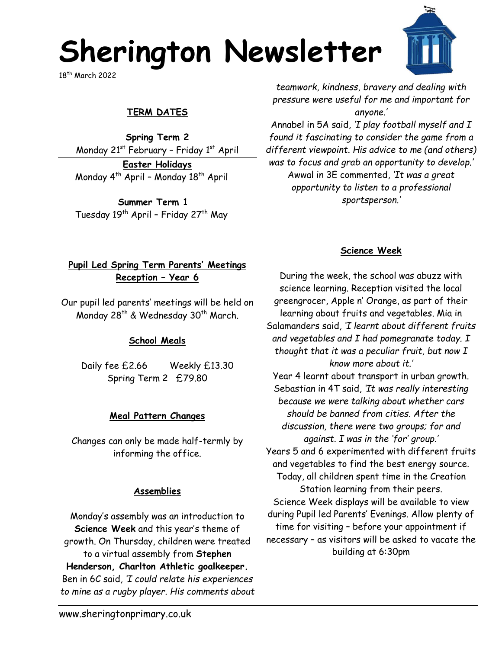# **Sherington Newsletter**

18th March 2022

## **TERM DATES**

**Spring Term 2** Monday  $21^{st}$  February - Friday  $1^{st}$  April

**Easter Holidays** Monday  $4^{th}$  April - Monday  $18^{th}$  April

**Summer Term 1** Tuesday 19<sup>th</sup> April - Friday 27<sup>th</sup> May

*teamwork, kindness, bravery and dealing with pressure were useful for me and important for anyone.'*

Annabel in 5A said, *'I play football myself and I found it fascinating to consider the game from a different viewpoint. His advice to me (and others) was to focus and grab an opportunity to develop.'* Awwal in 3E commented, *'It was a great opportunity to listen to a professional sportsperson.'*

#### **Science Week**

#### **Pupil Led Spring Term Parents' Meetings Reception – Year 6**

Our pupil led parents' meetings will be held on Monday 28<sup>th</sup> & Wednesday 30<sup>th</sup> March.

### **School Meals**

Daily fee £2.66 Weekly £13.30 Spring Term 2 £79.80

### **Meal Pattern Changes**

Changes can only be made half-termly by informing the office.

#### **Assemblies**

Monday's assembly was an introduction to **Science Week** and this year's theme of growth. On Thursday, children were treated to a virtual assembly from **Stephen Henderson, Charlton Athletic goalkeeper.** Ben in 6C said, *'I could relate his experiences to mine as a rugby player. His comments about* 

During the week, the school was abuzz with science learning. Reception visited the local greengrocer, Apple n' Orange, as part of their learning about fruits and vegetables. Mia in Salamanders said, *'I learnt about different fruits and vegetables and I had pomegranate today. I thought that it was a peculiar fruit, but now I know more about it.'* Year 4 learnt about transport in urban growth. Sebastian in 4T said, *'It was really interesting because we were talking about whether cars should be banned from cities. After the discussion, there were two groups; for and against. I was in the 'for' group.'* Years 5 and 6 experimented with different fruits and vegetables to find the best energy source. Today, all children spent time in the Creation Station learning from their peers. Science Week displays will be available to view during Pupil led Parents' Evenings. Allow plenty of time for visiting – before your appointment if necessary – as visitors will be asked to vacate the building at 6:30pm

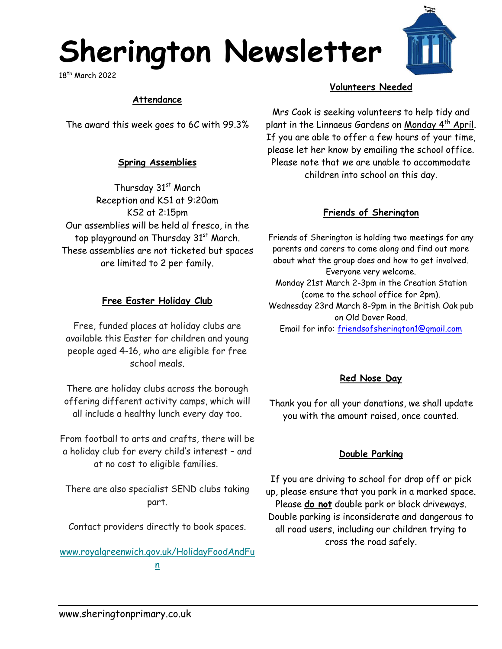# **Sherington Newsletter**

18th March 2022

#### **Attendance**

The award this week goes to 6C with 99.3%

#### **Spring Assemblies**

Thursday 31<sup>st</sup> March Reception and KS1 at 9:20am KS2 at 2:15pm Our assemblies will be held al fresco, in the top playground on Thursday 31<sup>st</sup> March. These assemblies are not ticketed but spaces are limited to 2 per family.

#### **Free Easter Holiday Club**

Free, funded places at holiday clubs are available this Easter for children and young people aged 4-16, who are eligible for free school meals.

There are holiday clubs across the borough offering different activity camps, which will all include a healthy lunch every day too.

From football to arts and crafts, there will be a holiday club for every child's interest – and at no cost to eligible families.

There are also specialist SEND clubs taking part.

Contact providers directly to book spaces.

[www.royalgreenwich.gov.uk/HolidayFoodAndFu](https://royalgreenwich.us16.list-manage.com/track/click?u=353e66c91ca8d217125ad655c&id=8c3e43e234&e=ab85ed5267) [n](https://royalgreenwich.us16.list-manage.com/track/click?u=353e66c91ca8d217125ad655c&id=8c3e43e234&e=ab85ed5267)

#### **Volunteers Needed**

Mrs Cook is seeking volunteers to help tidy and plant in the Linnaeus Gardens on Monday 4<sup>th</sup> April. If you are able to offer a few hours of your time, please let her know by emailing the school office. Please note that we are unable to accommodate children into school on this day.

#### **Friends of Sherington**

Friends of Sherington is holding two meetings for any parents and carers to come along and find out more about what the group does and how to get involved. Everyone very welcome. Monday 21st March 2-3pm in the Creation Station (come to the school office for 2pm). Wednesday 23rd March 8-9pm in the British Oak pub on Old Dover Road. Email for info: [friendsofsherington1@gmail.com](mailto:friendsofsherington1@gmail.com)

#### **Red Nose Day**

Thank you for all your donations, we shall update you with the amount raised, once counted.

#### **Double Parking**

If you are driving to school for drop off or pick up, please ensure that you park in a marked space. Please **do not** double park or block driveways. Double parking is inconsiderate and dangerous to all road users, including our children trying to cross the road safely.